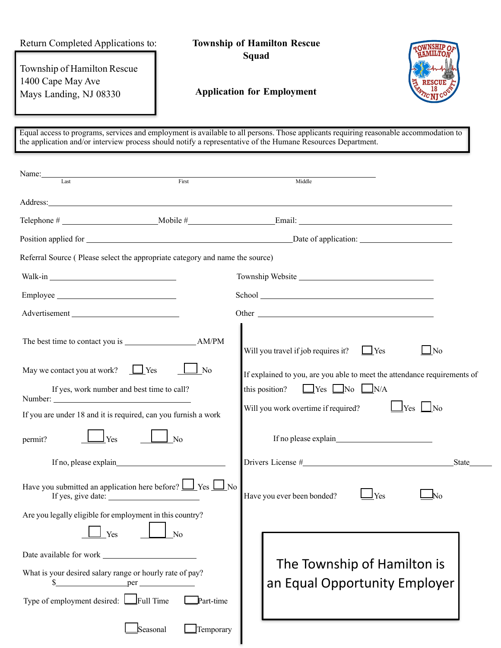Return Completed Applications to:

**Township of Hamilton Rescue Squad**

Township of Hamilton Rescue 1400 Cape May Ave Mays Landing, NJ 08330



## **Application for Employment**

Equal access to programs, services and employment is available to all persons. Those applicants requiring reasonable accommodation to the application and/or interview process should notify a representative of the Humane Resources Department.

| Name:<br>Last                                                                                                                                                                                                                       | First                    |                                                                          |  |  |
|-------------------------------------------------------------------------------------------------------------------------------------------------------------------------------------------------------------------------------------|--------------------------|--------------------------------------------------------------------------|--|--|
|                                                                                                                                                                                                                                     |                          | Middle                                                                   |  |  |
| Address: <u>Address</u> and the contract of the contract of the contract of the contract of the contract of the contract of the contract of the contract of the contract of the contract of the contract of the contract of the con |                          |                                                                          |  |  |
|                                                                                                                                                                                                                                     |                          |                                                                          |  |  |
|                                                                                                                                                                                                                                     |                          |                                                                          |  |  |
| Referral Source (Please select the appropriate category and name the source)                                                                                                                                                        |                          |                                                                          |  |  |
|                                                                                                                                                                                                                                     |                          | Township Website                                                         |  |  |
|                                                                                                                                                                                                                                     |                          |                                                                          |  |  |
|                                                                                                                                                                                                                                     |                          |                                                                          |  |  |
|                                                                                                                                                                                                                                     |                          | Will you travel if job requires it?<br>$\Box$ No<br>$\Box$ Yes           |  |  |
| May we contact you at work?<br>$\Box$ Yes                                                                                                                                                                                           | N <sub>0</sub>           | If explained to you, are you able to meet the attendance requirements of |  |  |
| If yes, work number and best time to call?                                                                                                                                                                                          |                          | this position? $\Box$ Yes $\Box$ No $\Box$ N/A                           |  |  |
| If you are under 18 and it is required, can you furnish a work                                                                                                                                                                      |                          | Will you work overtime if required?<br>$\Box$ Yes $\Box$ No              |  |  |
| Yes<br>permit?<br>$\Box$ No                                                                                                                                                                                                         |                          |                                                                          |  |  |
|                                                                                                                                                                                                                                     |                          | State                                                                    |  |  |
| Have you submitted an application here before? $\Box$ Yes $\Box$ No                                                                                                                                                                 |                          | Have you ever been bonded?<br><b>Yes</b><br>No                           |  |  |
| Are you legally eligible for employment in this country?<br>$\sqrt{\phantom{a}}$ Yes $\phantom{a}$                                                                                                                                  | $\boxed{\phantom{1}}$ No |                                                                          |  |  |
|                                                                                                                                                                                                                                     |                          |                                                                          |  |  |
| What is your desired salary range or hourly rate of pay?<br>per                                                                                                                                                                     |                          | The Township of Hamilton is<br>an Equal Opportunity Employer             |  |  |
| Type of employment desired: Full Time                                                                                                                                                                                               | Part-time                |                                                                          |  |  |
|                                                                                                                                                                                                                                     | Seasonal<br>Temporary    |                                                                          |  |  |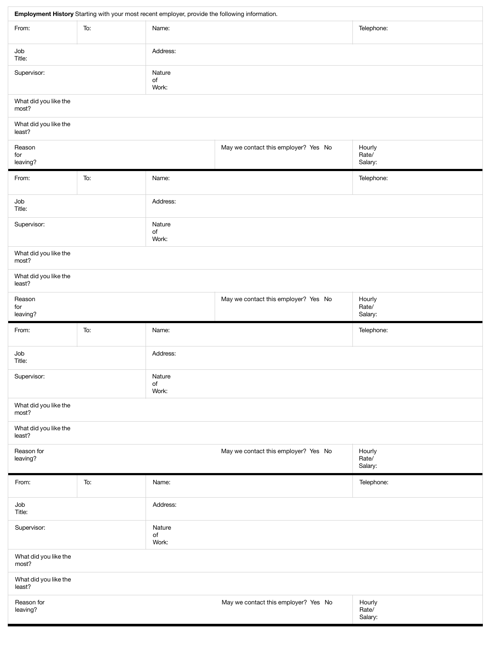| Employment History Starting with your most recent employer, provide the following information. |     |                                      |                                      |                            |  |  |
|------------------------------------------------------------------------------------------------|-----|--------------------------------------|--------------------------------------|----------------------------|--|--|
| From:                                                                                          | To: | Name:                                |                                      | Telephone:                 |  |  |
| Job<br>Title:                                                                                  |     | Address:                             |                                      |                            |  |  |
| Supervisor:<br>Nature<br>of<br>Work:                                                           |     |                                      |                                      |                            |  |  |
| What did you like the<br>most?                                                                 |     |                                      |                                      |                            |  |  |
| What did you like the<br>least?                                                                |     |                                      |                                      |                            |  |  |
| Reason<br>for<br>leaving?                                                                      |     |                                      | May we contact this employer? Yes No | Hourly<br>Rate/<br>Salary: |  |  |
| From:                                                                                          | To: | Name:                                |                                      | Telephone:                 |  |  |
| Job<br>Title:                                                                                  |     | Address:                             |                                      |                            |  |  |
| Supervisor:                                                                                    |     | Nature<br>of<br>Work:                |                                      |                            |  |  |
| What did you like the<br>most?                                                                 |     |                                      |                                      |                            |  |  |
| What did you like the<br>least?                                                                |     |                                      |                                      |                            |  |  |
| Reason<br>for<br>leaving?                                                                      |     | May we contact this employer? Yes No | Hourly<br>Rate/<br>Salary:           |                            |  |  |
| From:                                                                                          | To: | Name:                                |                                      | Telephone:                 |  |  |
| Job<br>Title:                                                                                  |     | Address:                             |                                      |                            |  |  |
| Supervisor:                                                                                    |     | Nature<br>of<br>Work:                |                                      |                            |  |  |
| What did you like the<br>most?                                                                 |     |                                      |                                      |                            |  |  |
| What did you like the<br>least?                                                                |     |                                      |                                      |                            |  |  |
| Reason for<br>leaving?                                                                         |     | May we contact this employer? Yes No | Hourly<br>Rate/<br>Salary:           |                            |  |  |
| From:                                                                                          | To: | Name:                                |                                      | Telephone:                 |  |  |
| Job<br>Title:                                                                                  |     | Address:                             |                                      |                            |  |  |
| Supervisor:                                                                                    |     | Nature<br>of<br>Work:                |                                      |                            |  |  |
| What did you like the<br>most?                                                                 |     |                                      |                                      |                            |  |  |
| What did you like the<br>least?                                                                |     |                                      |                                      |                            |  |  |
| Reason for<br>leaving?                                                                         |     |                                      | May we contact this employer? Yes No | Hourly<br>Rate/<br>Salary: |  |  |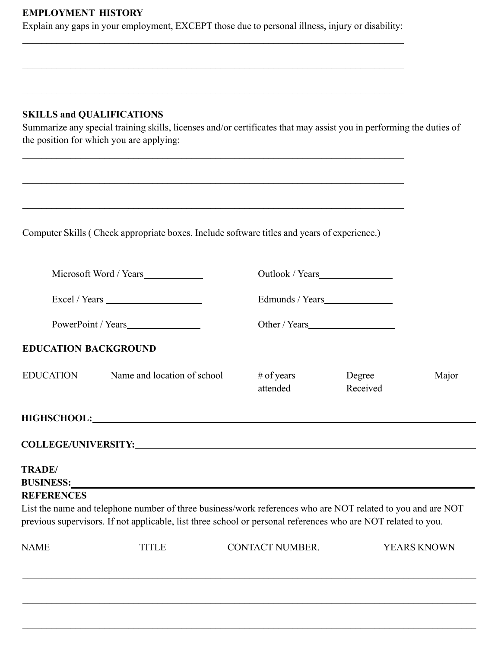## **EMPLOYMENT HISTORY**

Explain any gaps in your employment, EXCEPT those due to personal illness, injury or disability:  $\mathcal{L}_\mathcal{L} = \{ \mathcal{L}_\mathcal{L} = \{ \mathcal{L}_\mathcal{L} = \{ \mathcal{L}_\mathcal{L} = \{ \mathcal{L}_\mathcal{L} = \{ \mathcal{L}_\mathcal{L} = \{ \mathcal{L}_\mathcal{L} = \{ \mathcal{L}_\mathcal{L} = \{ \mathcal{L}_\mathcal{L} = \{ \mathcal{L}_\mathcal{L} = \{ \mathcal{L}_\mathcal{L} = \{ \mathcal{L}_\mathcal{L} = \{ \mathcal{L}_\mathcal{L} = \{ \mathcal{L}_\mathcal{L} = \{ \mathcal{L}_\mathcal{$ 

 $\mathcal{L}_\mathcal{L} = \{ \mathcal{L}_\mathcal{L} = \{ \mathcal{L}_\mathcal{L} = \{ \mathcal{L}_\mathcal{L} = \{ \mathcal{L}_\mathcal{L} = \{ \mathcal{L}_\mathcal{L} = \{ \mathcal{L}_\mathcal{L} = \{ \mathcal{L}_\mathcal{L} = \{ \mathcal{L}_\mathcal{L} = \{ \mathcal{L}_\mathcal{L} = \{ \mathcal{L}_\mathcal{L} = \{ \mathcal{L}_\mathcal{L} = \{ \mathcal{L}_\mathcal{L} = \{ \mathcal{L}_\mathcal{L} = \{ \mathcal{L}_\mathcal{$ 

 $\mathcal{L}_\mathcal{L} = \{ \mathcal{L}_\mathcal{L} = \{ \mathcal{L}_\mathcal{L} = \{ \mathcal{L}_\mathcal{L} = \{ \mathcal{L}_\mathcal{L} = \{ \mathcal{L}_\mathcal{L} = \{ \mathcal{L}_\mathcal{L} = \{ \mathcal{L}_\mathcal{L} = \{ \mathcal{L}_\mathcal{L} = \{ \mathcal{L}_\mathcal{L} = \{ \mathcal{L}_\mathcal{L} = \{ \mathcal{L}_\mathcal{L} = \{ \mathcal{L}_\mathcal{L} = \{ \mathcal{L}_\mathcal{L} = \{ \mathcal{L}_\mathcal{$ 

# **SKILLS and QUALIFICATIONS**

Summarize any special training skills, licenses and/or certificates that may assist you in performing the duties of the position for which you are applying:

|                             | Computer Skills (Check appropriate boxes. Include software titles and years of experience.)                                                                                                                                    |                        |                    |             |
|-----------------------------|--------------------------------------------------------------------------------------------------------------------------------------------------------------------------------------------------------------------------------|------------------------|--------------------|-------------|
| PowerPoint / Years          |                                                                                                                                                                                                                                |                        |                    |             |
|                             |                                                                                                                                                                                                                                |                        | Edmunds / Years    |             |
|                             |                                                                                                                                                                                                                                |                        |                    |             |
| <b>EDUCATION BACKGROUND</b> |                                                                                                                                                                                                                                |                        |                    |             |
| <b>EDUCATION</b>            | Name and location of school                                                                                                                                                                                                    | # of years<br>attended | Degree<br>Received | Major       |
|                             | HIGHSCHOOL: NAME OF THE SERVICE OF THE SERVICE OF THE SERVICE OF THE SERVICE OF THE SERVICE OF THE SERVICE OF THE SERVICE OF THE SERVICE OF THE SERVICE OF THE SERVICE OF THE SERVICE OF THE SERVICE OF THE SERVICE OF THE SER |                        |                    |             |
|                             |                                                                                                                                                                                                                                |                        |                    |             |
| <b>TRADE/</b>               | BUSINESS: University of the contract of the contract of the contract of the contract of the contract of the contract of the contract of the contract of the contract of the contract of the contract of the contract of the co |                        |                    |             |
| <b>REFERENCES</b>           | List the name and telephone number of three business/work references who are NOT related to you and are NOT<br>previous supervisors. If not applicable, list three school or personal references who are NOT related to you.   |                        |                    |             |
|                             | <b>TITLE</b>                                                                                                                                                                                                                   | <b>CONTACT NUMBER.</b> |                    | YEARS KNOWN |